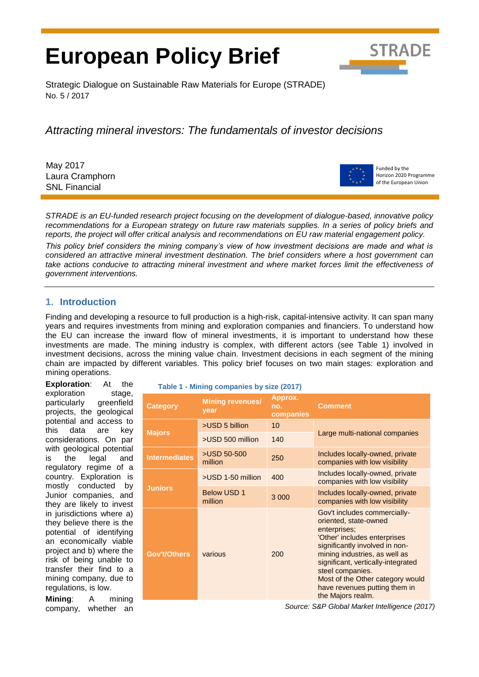# **European Policy Brief**



Strategic Dialogue on Sustainable Raw Materials for Europe (STRADE) No. 5 / 2017

*Attracting mineral investors: The fundamentals of investor decisions*

May 2017 Laura Cramphorn SNL Financial



Funded by the Horizon 2020 Programme of the European Union

*STRADE is an EU-funded research project focusing on the development of dialogue-based, innovative policy* recommendations for a European strategy on future raw materials supplies. In a series of policy briefs and *reports, the project will offer critical analysis and recommendations on EU raw material engagement policy.*

*This policy brief considers the mining company's view of how investment decisions are made and what is considered an attractive mineral investment destination. The brief considers where a host government can take actions conducive to attracting mineral investment and where market forces limit the effectiveness of government interventions.* 

# **1. Introduction**

Finding and developing a resource to full production is a high-risk, capital-intensive activity. It can span many years and requires investments from mining and exploration companies and financiers. To understand how the EU can increase the inward flow of mineral investments, it is important to understand how these investments are made. The mining industry is complex, with different actors (see Table 1) involved in investment decisions, across the mining value chain. Investment decisions in each segment of the mining chain are impacted by different variables. This policy brief focuses on two main stages: exploration and mining operations.

**Exploration**: At the exploration stage, particularly greenfield projects, the geological potential and access to this data are key considerations. On par with geological potential is the legal and regulatory regime of a country. Exploration is mostly conducted by Junior companies, and they are likely to invest in jurisdictions where a) they believe there is the potential of identifying an economically viable project and b) where the risk of being unable to transfer their find to a mining company, due to regulations, is low.

**Mining**: A mining company, whether an

|  | Table 1 - Mining companies by size (2017) |  |
|--|-------------------------------------------|--|
|  |                                           |  |

| <b>Category</b>      | <b>Mining revenues/</b><br>year | Approx.<br>no.<br>companies | <b>Comment</b>                                                                                                                                                                                                                                                                                                               |  |
|----------------------|---------------------------------|-----------------------------|------------------------------------------------------------------------------------------------------------------------------------------------------------------------------------------------------------------------------------------------------------------------------------------------------------------------------|--|
| <b>Majors</b>        | >USD 5 billion                  | 10                          |                                                                                                                                                                                                                                                                                                                              |  |
|                      | >USD 500 million                | 140                         | Large multi-national companies                                                                                                                                                                                                                                                                                               |  |
| <b>Intermediates</b> | >USD 50-500<br>million          | 250                         | Includes locally-owned, private<br>companies with low visibility                                                                                                                                                                                                                                                             |  |
| <b>Juniors</b>       | >USD 1-50 million               | 400                         | Includes locally-owned, private<br>companies with low visibility                                                                                                                                                                                                                                                             |  |
|                      | <b>Below USD 1</b><br>million   | 3 0 0 0                     | Includes locally-owned, private<br>companies with low visibility                                                                                                                                                                                                                                                             |  |
| Gov't/Others         | various                         | 200                         | Gov't includes commercially-<br>oriented, state-owned<br>enterprises;<br>'Other' includes enterprises<br>significantly involved in non-<br>mining industries, as well as<br>significant, vertically-integrated<br>steel companies.<br>Most of the Other category would<br>have revenues putting them in<br>the Majors realm. |  |

*Source: S&P Global Market Intelligence (2017)*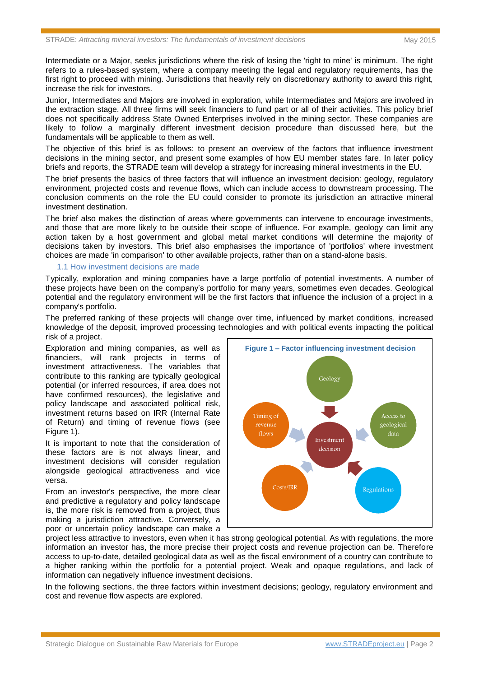Intermediate or a Major, seeks jurisdictions where the risk of losing the 'right to mine' is minimum. The right refers to a rules-based system, where a company meeting the legal and regulatory requirements, has the first right to proceed with mining. Jurisdictions that heavily rely on discretionary authority to award this right, increase the risk for investors.

Junior, Intermediates and Majors are involved in exploration, while Intermediates and Majors are involved in the extraction stage. All three firms will seek financiers to fund part or all of their activities. This policy brief does not specifically address State Owned Enterprises involved in the mining sector. These companies are likely to follow a marginally different investment decision procedure than discussed here, but the fundamentals will be applicable to them as well.

The objective of this brief is as follows: to present an overview of the factors that influence investment decisions in the mining sector, and present some examples of how EU member states fare. In later policy briefs and reports, the STRADE team will develop a strategy for increasing mineral investments in the EU.

The brief presents the basics of three factors that will influence an investment decision: geology, regulatory environment, projected costs and revenue flows, which can include access to downstream processing. The conclusion comments on the role the EU could consider to promote its jurisdiction an attractive mineral investment destination.

The brief also makes the distinction of areas where governments can intervene to encourage investments, and those that are more likely to be outside their scope of influence. For example, geology can limit any action taken by a host government and global metal market conditions will determine the majority of decisions taken by investors. This brief also emphasises the importance of 'portfolios' where investment choices are made 'in comparison' to other available projects, rather than on a stand-alone basis.

#### 1.1 How investment decisions are made

Typically, exploration and mining companies have a large portfolio of potential investments. A number of these projects have been on the company's portfolio for many years, sometimes even decades. Geological potential and the regulatory environment will be the first factors that influence the inclusion of a project in a company's portfolio.

The preferred ranking of these projects will change over time, influenced by market conditions, increased knowledge of the deposit, improved processing technologies and with political events impacting the political risk of a project.

Exploration and mining companies, as well as financiers, will rank projects in terms of investment attractiveness. The variables that contribute to this ranking are typically geological potential (or inferred resources, if area does not have confirmed resources), the legislative and policy landscape and associated political risk, investment returns based on IRR (Internal Rate of Return) and timing of revenue flows (see Figure 1).

It is important to note that the consideration of these factors are is not always linear, and investment decisions will consider regulation alongside geological attractiveness and vice versa.

From an investor's perspective, the more clear and predictive a regulatory and policy landscape is, the more risk is removed from a project, thus making a jurisdiction attractive. Conversely, a poor or uncertain policy landscape can make a



project less attractive to investors, even when it has strong geological potential. As with regulations, the more information an investor has, the more precise their project costs and revenue projection can be. Therefore access to up-to-date, detailed geological data as well as the fiscal environment of a country can contribute to a higher ranking within the portfolio for a potential project. Weak and opaque regulations, and lack of information can negatively influence investment decisions.

In the following sections, the three factors within investment decisions; geology, regulatory environment and cost and revenue flow aspects are explored.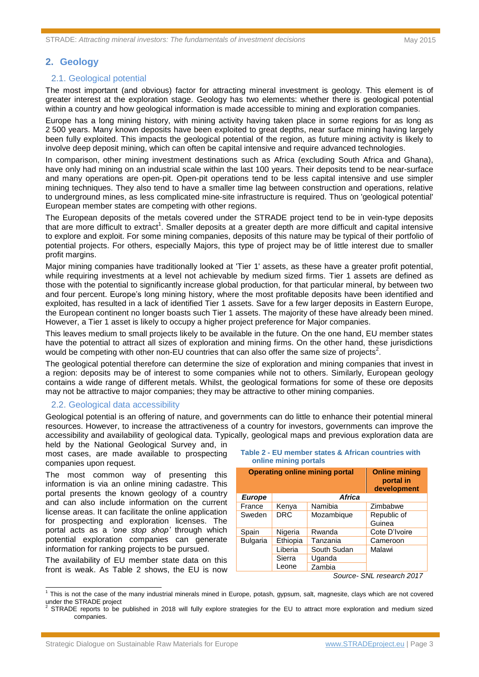# **2. Geology**

#### 2.1. Geological potential

The most important (and obvious) factor for attracting mineral investment is geology. This element is of greater interest at the exploration stage. Geology has two elements: whether there is geological potential within a country and how geological information is made accessible to mining and exploration companies.

Europe has a long mining history, with mining activity having taken place in some regions for as long as 2 500 years. Many known deposits have been exploited to great depths, near surface mining having largely been fully exploited. This impacts the geological potential of the region, as future mining activity is likely to involve deep deposit mining, which can often be capital intensive and require advanced technologies.

In comparison, other mining investment destinations such as Africa (excluding South Africa and Ghana), have only had mining on an industrial scale within the last 100 years. Their deposits tend to be near-surface and many operations are open-pit. Open-pit operations tend to be less capital intensive and use simpler mining techniques. They also tend to have a smaller time lag between construction and operations, relative to underground mines, as less complicated mine-site infrastructure is required. Thus on 'geological potential' European member states are competing with other regions.

The European deposits of the metals covered under the STRADE project tend to be in vein-type deposits that are more difficult to extract<sup>1</sup>. Smaller deposits at a greater depth are more difficult and capital intensive to explore and exploit. For some mining companies, deposits of this nature may be typical of their portfolio of potential projects. For others, especially Majors, this type of project may be of little interest due to smaller profit margins.

Major mining companies have traditionally looked at 'Tier 1' assets, as these have a greater profit potential, while requiring investments at a level not achievable by medium sized firms. Tier 1 assets are defined as those with the potential to significantly increase global production, for that particular mineral, by between two and four percent. Europe's long mining history, where the most profitable deposits have been identified and exploited, has resulted in a lack of identified Tier 1 assets. Save for a few larger deposits in Eastern Europe, the European continent no longer boasts such Tier 1 assets. The majority of these have already been mined. However, a Tier 1 asset is likely to occupy a higher project preference for Major companies.

This leaves medium to small projects likely to be available in the future. On the one hand, EU member states have the potential to attract all sizes of exploration and mining firms. On the other hand, these jurisdictions would be competing with other non-EU countries that can also offer the same size of projects<sup>2</sup>.

The geological potential therefore can determine the size of exploration and mining companies that invest in a region: deposits may be of interest to some companies while not to others. Similarly, European geology contains a wide range of different metals. Whilst, the geological formations for some of these ore deposits may not be attractive to major companies; they may be attractive to other mining companies.

#### 2.2. Geological data accessibility

Geological potential is an offering of nature, and governments can do little to enhance their potential mineral resources. However, to increase the attractiveness of a country for investors, governments can improve the accessibility and availability of geological data. Typically, geological maps and previous exploration data are

held by the National Geological Survey and, in most cases, are made available to prospecting companies upon request.

The most common way of presenting this information is via an online mining cadastre. This portal presents the known geology of a country and can also include information on the current license areas. It can facilitate the online application for prospecting and exploration licenses. The portal acts as a *'one stop shop'* through which potential exploration companies can generate information for ranking projects to be pursued.

The availability of EU member state data on this front is weak. As Table 2 shows, the EU is now

#### **Table 2 - EU member states & African countries with online mining portals**

| <b>Operating online mining portal</b> |               |                                    | <b>Online mining</b><br>portal in<br>development |  |
|---------------------------------------|---------------|------------------------------------|--------------------------------------------------|--|
| <b>Europe</b>                         | <b>Africa</b> |                                    |                                                  |  |
| France                                | Kenya         | Namibia                            | Zimbabwe                                         |  |
| Sweden                                | <b>DRC</b>    | Mozambique                         | Republic of                                      |  |
|                                       |               |                                    | Guinea                                           |  |
| Spain                                 | Nigeria       | Rwanda                             | Cote D'Ivoire                                    |  |
| <b>Bulgaria</b>                       | Ethiopia      | Tanzania                           | Cameroon                                         |  |
|                                       | Liberia       | South Sudan                        | Malawi                                           |  |
|                                       | Sierra        | Uganda                             |                                                  |  |
|                                       | Leone         | Zambia                             |                                                  |  |
|                                       |               | $\sim$ $\sim$ $\sim$ $\sim$ $\sim$ | $\sim$ $\mu$<br>$ - - - - - - - - - - - - -$     |  |

*Source- SNL research 2017*

 1 This is not the case of the many industrial minerals mined in Europe, potash, gypsum, salt, magnesite, clays which are not covered under the STRADE project

<sup>2</sup> STRADE reports to be published in 2018 will fully explore strategies for the EU to attract more exploration and medium sized companies.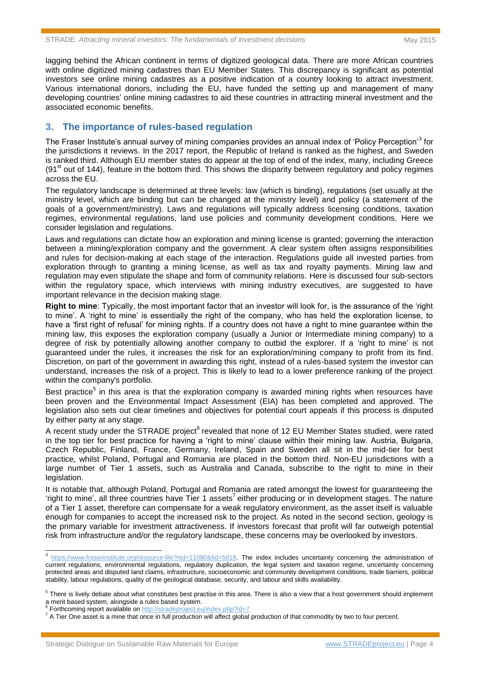lagging behind the African continent in terms of digitized geological data. There are more African countries with online digitized mining cadastres than EU Member States. This discrepancy is significant as potential investors see online mining cadastres as a positive indication of a country looking to attract investment. Various international donors, including the EU, have funded the setting up and management of many developing countries' online mining cadastres to aid these countries in attracting mineral investment and the associated economic benefits.

# **3. The importance of rules-based regulation**

The Fraser Institute's annual survey of mining companies provides an annual index of 'Policy Perception'<sup>3</sup> for the jurisdictions it reviews. In the 2017 report, the Republic of Ireland is ranked as the highest, and Sweden is ranked third. Although EU member states do appear at the top of end of the index, many, including Greece  $(91<sup>st</sup>$  out of 144), feature in the bottom third. This shows the disparity between regulatory and policy regimes across the EU.

The regulatory landscape is determined at three levels: law (which is binding), regulations (set usually at the ministry level, which are binding but can be changed at the ministry level) and policy (a statement of the goals of a government/ministry). Laws and regulations will typically address licensing conditions, taxation regimes, environmental regulations, land use policies and community development conditions. Here we consider legislation and regulations.

Laws and regulations can dictate how an exploration and mining license is granted; governing the interaction between a mining/exploration company and the government. A clear system often assigns responsibilities and rules for decision-making at each stage of the interaction. Regulations guide all invested parties from exploration through to granting a mining license, as well as tax and royalty payments. Mining law and regulation may even stipulate the shape and form of community relations. Here is discussed four sub-sectors within the regulatory space, which interviews with mining industry executives, are suggested to have important relevance in the decision making stage.

**Right to mine**: Typically, the most important factor that an investor will look for, is the assurance of the 'right to mine'. A 'right to mine' is essentially the right of the company, who has held the exploration license, to have a 'first right of refusal' for mining rights. If a country does not have a right to mine guarantee within the mining law, this exposes the exploration company (usually a Junior or Intermediate mining company) to a degree of risk by potentially allowing another company to outbid the explorer. If a 'right to mine' is not guaranteed under the rules, it increases the risk for an exploration/mining company to profit from its find. Discretion, on part of the government in awarding this right, instead of a rules-based system the investor can understand, increases the risk of a project. This is likely to lead to a lower preference ranking of the project within the company's portfolio.

Best practice<sup>5</sup> in this area is that the exploration company is awarded mining rights when resources have been proven and the Environmental Impact Assessment (EIA) has been completed and approved. The legislation also sets out clear timelines and objectives for potential court appeals if this process is disputed by either party at any stage.

A recent study under the STRADE project<sup>6</sup> revealed that none of 12 EU Member States studied, were rated in the top tier for best practice for having a 'right to mine' clause within their mining law. Austria, Bulgaria, Czech Republic, Finland, France, Germany, Ireland, Spain and Sweden all sit in the mid-tier for best practice, whilst Poland, Portugal and Romania are placed in the bottom third. Non-EU jurisdictions with a large number of Tier 1 assets, such as Australia and Canada, subscribe to the right to mine in their legislation.

It is notable that, although Poland, Portugal and Romania are rated amongst the lowest for guaranteeing the 'right to mine', all three countries have Tier 1 assets<sup>7</sup> either producing or in development stages. The nature of a Tier 1 asset, therefore can compensate for a weak regulatory environment, as the asset itself is valuable enough for companies to accept the increased risk to the project. As noted in the second section, geology is the primary variable for investment attractiveness. If investors forecast that profit will far outweigh potential risk from infrastructure and/or the regulatory landscape, these concerns may be overlooked by investors.

<sup>&</sup>lt;sup>3</sup> [https://www.fraserinstitute.org/resource-file?nid=11080&fid=5818.](https://www.fraserinstitute.org/resource-file?nid=11080&fid=5818) The index includes uncertainty concerning the administration of current regulations, environmental regulations, regulatory duplication, the legal system and taxation regime, uncertainty concerning protected areas and disputed land claims, infrastructure, socioeconomic and community development conditions, trade barriers, political stability, labour regulations, quality of the geological database, security, and labour and skills availability.

 $5$  There is lively debate about what constitutes best practise in this area. There is also a view that a host government should implement a merit based system, alongside a rules based system.<br><sup>6</sup> Eartheaming report quailable an http://atradonraiact.com

Forthcoming report available o[n http://stradeproject.eu/index.php?id=7](http://stradeproject.eu/index.php?id=7)

<sup>&</sup>lt;sup>7</sup> A Tier One asset is a mine that once in full production will affect global production of that commodity by two to four percent.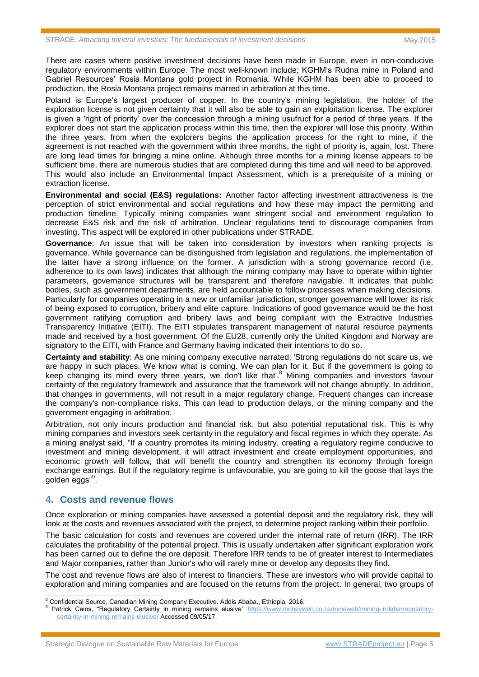There are cases where positive investment decisions have been made in Europe, even in non-conducive regulatory environments within Europe. The most well-known include; KGHM's Rudna mine in Poland and Gabriel Resources' Rosia Montana gold project in Romania. While KGHM has been able to proceed to production, the Rosia Montana project remains marred in arbitration at this time.

Poland is Europe's largest producer of copper. In the country's mining legislation, the holder of the exploration license is not given certainty that it will also be able to gain an exploitation license. The explorer is given a 'right of priority' over the concession through a mining usufruct for a period of three years. If the explorer does not start the application process within this time, then the explorer will lose this priority. Within the three years, from when the explorers begins the application process for the right to mine, if the agreement is not reached with the government within three months, the right of priority is, again, lost. There are long lead times for bringing a mine online. Although three months for a mining license appears to be sufficient time, there are numerous studies that are completed during this time and will need to be approved. This would also include an Environmental Impact Assessment, which is a prerequisite of a mining or extraction license.

**Environmental and social (E&S) regulations:** Another factor affecting investment attractiveness is the perception of strict environmental and social regulations and how these may impact the permitting and production timeline. Typically mining companies want stringent social and environment regulation to decrease E&S risk and the risk of arbitration. Unclear regulations tend to discourage companies from investing. This aspect will be explored in other publications under STRADE.

**Governance**: An issue that will be taken into consideration by investors when ranking projects is governance. While governance can be distinguished from legislation and regulations, the implementation of the latter have a strong influence on the former. A jurisdiction with a strong governance record (i.e. adherence to its own laws) indicates that although the mining company may have to operate within tighter parameters, governance structures will be transparent and therefore navigable. It indicates that public bodies, such as government departments, are held accountable to follow processes when making decisions. Particularly for companies operating in a new or unfamiliar jurisdiction, stronger governance will lower its risk of being exposed to corruption, bribery and elite capture. Indications of good governance would be the host government ratifying corruption and bribery laws and being compliant with the Extractive Industries Transparency Initiative (EITI). The EITI stipulates transparent management of natural resource payments made and received by a host government. Of the EU28, currently only the United Kingdom and Norway are signatory to the EITI, with France and Germany having indicated their intentions to do so.

**Certainty and stability**: As one mining company executive narrated; 'Strong regulations do not scare us, we are happy in such places. We know what is coming. We can plan for it. But if the government is going to keep changing its mind every three years, we don't like that'.<sup>8</sup> Mining companies and investors favour certainty of the regulatory framework and assurance that the framework will not change abruptly. In addition, that changes in governments, will not result in a major regulatory change. Frequent changes can increase the company's non-compliance risks. This can lead to production delays, or the mining company and the government engaging in arbitration.

Arbitration, not only incurs production and financial risk, but also potential reputational risk. This is why mining companies and investors seek certainty in the regulatory and fiscal regimes in which they operate. As a mining analyst said, "If a country promotes its mining industry, creating a regulatory regime conducive to investment and mining development, it will attract investment and create employment opportunities, and economic growth will follow, that will benefit the country and strengthen its economy through foreign exchange earnings. But if the regulatory regime is unfavourable, you are going to kill the goose that lays the golden eggs"<sup>9</sup>.

# **4. Costs and revenue flows**

 $\overline{a}$ 

Once exploration or mining companies have assessed a potential deposit and the regulatory risk, they will look at the costs and revenues associated with the project, to determine project ranking within their portfolio.

The basic calculation for costs and revenues are covered under the internal rate of return (IRR). The IRR calculates the profitability of the potential project. This is usually undertaken after significant exploration work has been carried out to define the ore deposit. Therefore IRR tends to be of greater interest to Intermediates and Major companies, rather than Junior's who will rarely mine or develop any deposits they find.

The cost and revenue flows are also of interest to financiers. These are investors who will provide capital to exploration and mining companies and are focused on the returns from the project. In general, two groups of

<sup>&</sup>lt;sup>8</sup> Confidential Source, Canadian Mining Company Executive. Addis Ababa., Ethiopia. 2016.

Patrick Cains, "Regulatory Certainty in mining remains elusive" [https://www.moneyweb.co.za/mineweb/mining-indaba/regulatory](https://www.moneyweb.co.za/mineweb/mining-indaba/regulatory-certainty-in-mining-remains-elusive/)[certainty-in-mining-remains-elusive/](https://www.moneyweb.co.za/mineweb/mining-indaba/regulatory-certainty-in-mining-remains-elusive/) Accessed 09/05/17.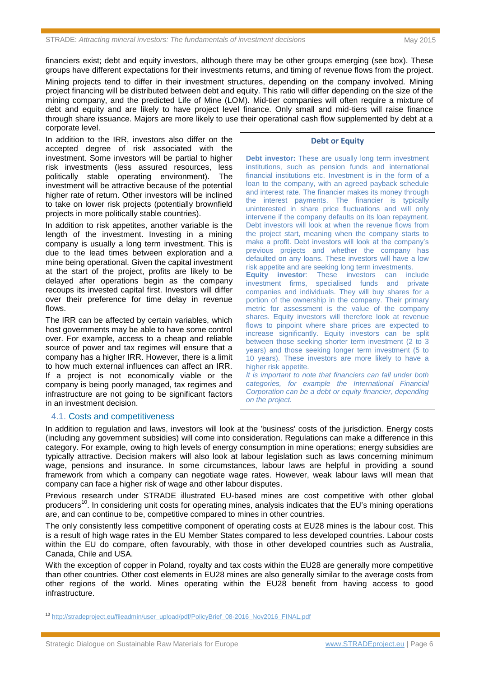financiers exist; debt and equity investors, although there may be other groups emerging (see box). These groups have different expectations for their investments returns, and timing of revenue flows from the project.

Mining projects tend to differ in their investment structures, depending on the company involved. Mining project financing will be distributed between debt and equity. This ratio will differ depending on the size of the mining company, and the predicted Life of Mine (LOM). Mid-tier companies will often require a mixture of debt and equity and are likely to have project level finance. Only small and mid-tiers will raise finance through share issuance. Majors are more likely to use their operational cash flow supplemented by debt at a corporate level.

In addition to the IRR, investors also differ on the accepted degree of risk associated with the investment. Some investors will be partial to higher risk investments (less assured resources, less politically stable operating environment). The investment will be attractive because of the potential higher rate of return. Other investors will be inclined to take on lower risk projects (potentially brownfield projects in more politically stable countries).

In addition to risk appetites, another variable is the length of the investment. Investing in a mining company is usually a long term investment. This is due to the lead times between exploration and a mine being operational. Given the capital investment at the start of the project, profits are likely to be delayed after operations begin as the company recoups its invested capital first. Investors will differ over their preference for time delay in revenue flows.

The IRR can be affected by certain variables, which host governments may be able to have some control over. For example, access to a cheap and reliable source of power and tax regimes will ensure that a company has a higher IRR. However, there is a limit to how much external influences can affect an IRR. If a project is not economically viable or the company is being poorly managed, tax regimes and infrastructure are not going to be significant factors in an investment decision.

#### **Debt or Equity**

**Debt investor:** These are usually long term investment institutions, such as pension funds and international financial institutions etc. Investment is in the form of a loan to the company, with an agreed payback schedule and interest rate. The financier makes its money through the interest payments. The financier is typically uninterested in share price fluctuations and will only intervene if the company defaults on its loan repayment. Debt investors will look at when the revenue flows from the project start, meaning when the company starts to make a profit. Debt investors will look at the company's previous projects and whether the company has defaulted on any loans. These investors will have a low risk appetite and are seeking long term investments. **Equity investor**: These investors can include investment firms, specialised funds and private companies and individuals. They will buy shares for a portion of the ownership in the company. Their primary metric for assessment is the value of the company shares. Equity investors will therefore look at revenue flows to pinpoint where share prices are expected to increase significantly. Equity investors can be split between those seeking shorter term investment (2 to 3 years) and those seeking longer term investment (5 to 10 years). These investors are more likely to have a higher risk appetite. *It is important to note that financiers can fall under both categories, for example the International Financial Corporation can be a debt or equity financier, depending* 

*on the project.* 

# 4.1. Costs and competitiveness

In addition to regulation and laws, investors will look at the 'business' costs of the jurisdiction. Energy costs (including any government subsidies) will come into consideration. Regulations can make a difference in this category. For example, owing to high levels of energy consumption in mine operations; energy subsidies are typically attractive. Decision makers will also look at labour legislation such as laws concerning minimum wage, pensions and insurance. In some circumstances, labour laws are helpful in providing a sound framework from which a company can negotiate wage rates. However, weak labour laws will mean that company can face a higher risk of wage and other labour disputes.

Previous research under STRADE illustrated EU-based mines are cost competitive with other global producers<sup>10</sup>. In considering unit costs for operating mines, analysis indicates that the EU's mining operations are, and can continue to be, competitive compared to mines in other countries.

The only consistently less competitive component of operating costs at EU28 mines is the labour cost. This is a result of high wage rates in the EU Member States compared to less developed countries. Labour costs within the EU do compare, often favourably, with those in other developed countries such as Australia, Canada, Chile and USA.

With the exception of copper in Poland, royalty and tax costs within the EU28 are generally more competitive than other countries. Other cost elements in EU28 mines are also generally similar to the average costs from other regions of the world. Mines operating within the EU28 benefit from having access to good infrastructure.

 $\overline{a}$ 

<sup>&</sup>lt;sup>10</sup> [http://stradeproject.eu/fileadmin/user\\_upload/pdf/PolicyBrief\\_08-2016\\_Nov2016\\_FINAL.pdf](http://stradeproject.eu/fileadmin/user_upload/pdf/PolicyBrief_08-2016_Nov2016_FINAL.pdf)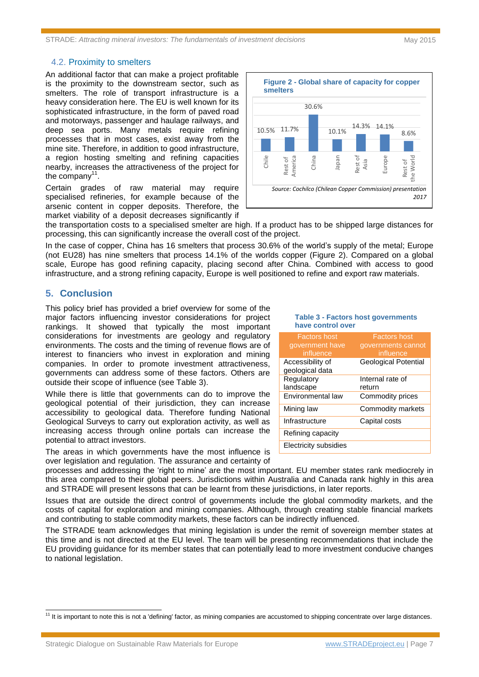While there is little that governments can do to improve the

The areas in which governments have the most influence is

processes and addressing the 'right to mine' are the most important. EU member states rank mediocrely in this area compared to their global peers. Jurisdictions within Australia and Canada rank highly in this area and STRADE will present lessons that can be learnt from these jurisdictions, in later reports.

Issues that are outside the direct control of governments include the global commodity markets, and the costs of capital for exploration and mining companies. Although, through creating stable financial markets and contributing to stable commodity markets, these factors can be indirectly influenced.

The STRADE team acknowledges that mining legislation is under the remit of sovereign member states at this time and is not directed at the EU level. The team will be presenting recommendations that include the EU providing guidance for its member states that can potentially lead to more investment conducive changes to national legislation.

#### 4.2. Proximity to smelters

An additional factor that can make a project profitable is the proximity to the downstream sector, such as smelters. The role of transport infrastructure is a heavy consideration here. The EU is well known for its sophisticated infrastructure, in the form of paved road and motorways, passenger and haulage railways, and deep sea ports. Many metals require refining processes that in most cases, exist away from the mine site. Therefore, in addition to good infrastructure, a region hosting smelting and refining capacities nearby, increases the attractiveness of the project for the company $11$ .

Certain grades of raw material may require specialised refineries, for example because of the arsenic content in copper deposits. Therefore, the market viability of a deposit decreases significantly if



**Table 3 - Factors host governments** 

Factors host governments cannot influence

Geological Potential

Internal rate of

return

Environmental law Commodity prices Mining law **Commodity markets** 

Infrastructure Capital costs

**have control over** Factors host government have influence

Accessibility of geological data

Refining capacity Electricity subsidies

**Regulatory** landscape

the transportation costs to a specialised smelter are high. If a product has to be shipped large distances for processing, this can significantly increase the overall cost of the project.

In the case of copper, China has 16 smelters that process 30.6% of the world's supply of the metal; Europe (not EU28) has nine smelters that process 14.1% of the worlds copper (Figure 2). Compared on a global scale, Europe has good refining capacity, placing second after China. Combined with access to good infrastructure, and a strong refining capacity, Europe is well positioned to refine and export raw materials.

# **5. Conclusion**

 $\overline{a}$ 

This policy brief has provided a brief overview for some of the major factors influencing investor considerations for project rankings. It showed that typically the most important considerations for investments are geology and regulatory environments. The costs and the timing of revenue flows are of interest to financiers who invest in exploration and mining companies. In order to promote investment attractiveness, governments can address some of these factors. Others are outside their scope of influence (see Table 3).

geological potential of their jurisdiction, they can increase accessibility to geological data. Therefore funding National Geological Surveys to carry out exploration activity, as well as increasing access through online portals can increase the potential to attract investors.

over legislation and regulation. The assurance and certainty of

<sup>&</sup>lt;sup>11</sup> It is important to note this is not a 'defining' factor, as mining companies are accustomed to shipping concentrate over large distances.